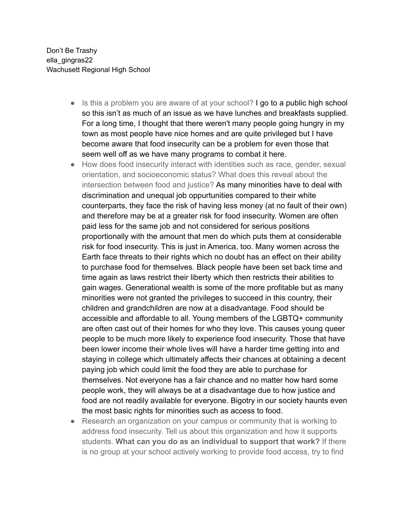Don't Be Trashy ella\_gingras22 Wachusett Regional High School

- Is this a problem you are aware of at your school? I go to a public high school so this isn't as much of an issue as we have lunches and breakfasts supplied. For a long time, I thought that there weren't many people going hungry in my town as most people have nice homes and are quite privileged but I have become aware that food insecurity can be a problem for even those that seem well off as we have many programs to combat it here.
- How does food insecurity interact with identities such as race, gender, sexual orientation, and socioeconomic status? What does this reveal about the intersection between food and justice? As many minorities have to deal with discrimination and unequal job oppurtunities compared to their white counterparts, they face the risk of having less money (at no fault of their own) and therefore may be at a greater risk for food insecurity. Women are often paid less for the same job and not considered for serious positions proportionally with the amount that men do which puts them at considerable risk for food insecurity. This is just in America, too. Many women across the Earth face threats to their rights which no doubt has an effect on their ability to purchase food for themselves. Black people have been set back time and time again as laws restrict their liberty which then restricts their abilities to gain wages. Generational wealth is some of the more profitable but as many minorities were not granted the privileges to succeed in this country, their children and grandchildren are now at a disadvantage. Food should be accessible and affordable to all. Young members of the LGBTQ+ community are often cast out of their homes for who they love. This causes young queer people to be much more likely to experience food insecurity. Those that have been lower income their whole lives will have a harder time getting into and staying in college which ultimately affects their chances at obtaining a decent paying job which could limit the food they are able to purchase for themselves. Not everyone has a fair chance and no matter how hard some people work, they will always be at a disadvantage due to how justice and food are not readily available for everyone. Bigotry in our society haunts even the most basic rights for minorities such as access to food.
- Research an organization on your campus or community that is working to address food insecurity. Tell us about this organization and how it supports students. **What can you do as an individual to support that work?** If there is no group at your school actively working to provide food access, try to find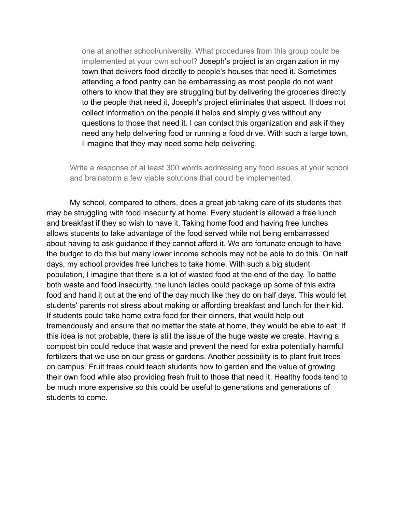one at another school/university. What procedures from this group could be implemented at your own school? Joseph's project is an organization in my town that delivers food directly to people's houses that need it. Sometimes attending a food pantry can be embarrassing as most people do not want others to know that they are struggling but by delivering the groceries directly to the people that need it, Joseph's project eliminates that aspect. It does not collect information on the people it helps and simply gives without any questions to those that need it. I can contact this organization and ask if they need any help delivering food or running a food drive. With such a large town, I imagine that they may need some help delivering.

Write a response of at least 300 words addressing any food issues at your school and brainstorm a few viable solutions that could be implemented.

My school, compared to others, does a great job taking care of its students that may be struggling with food insecurity at home. Every student is allowed a free lunch and breakfast if they so wish to have it. Taking home food and having free lunches allows students to take advantage of the food served while not being embarrassed about having to ask guidance if they cannot afford it. We are fortunate enough to have the budget to do this but many lower income schools may not be able to do this. On half days, my school provides free lunches to take home. With such a big student population, I imagine that there is a lot of wasted food at the end of the day. To battle both waste and food insecurity, the lunch ladies could package up some of this extra food and hand it out at the end of the day much like they do on half days. This would let students' parents not stress about making or affording breakfast and lunch for their kid. If students could take home extra food for their dinners, that would help out tremendously and ensure that no matter the state at home, they would be able to eat. If this idea is not probable, there is still the issue of the huge waste we create. Having a compost bin could reduce that waste and prevent the need for extra potentially harmful fertilizers that we use on our grass or gardens. Another possibility is to plant fruit trees on campus. Fruit trees could teach students how to garden and the value of growing their own food while also providing fresh fruit to those that need it. Healthy foods tend to be much more expensive so this could be useful to generations and generations of students to come.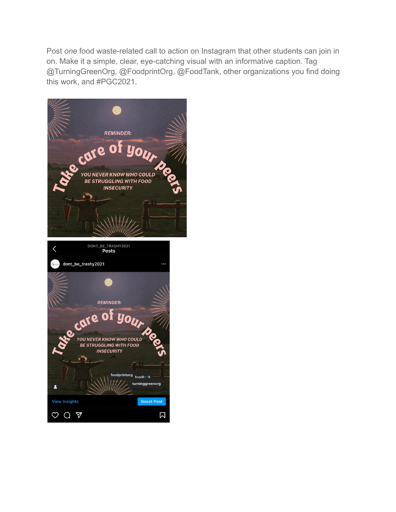Post *one* food waste-related call to action on Instagram that other students can join in on. Make it a simple, clear, eye-catching visual with an informative caption. Tag @TurningGreenOrg, @FoodprintOrg, @FoodTank, other organizations you find doing this work, and #PGC2021.